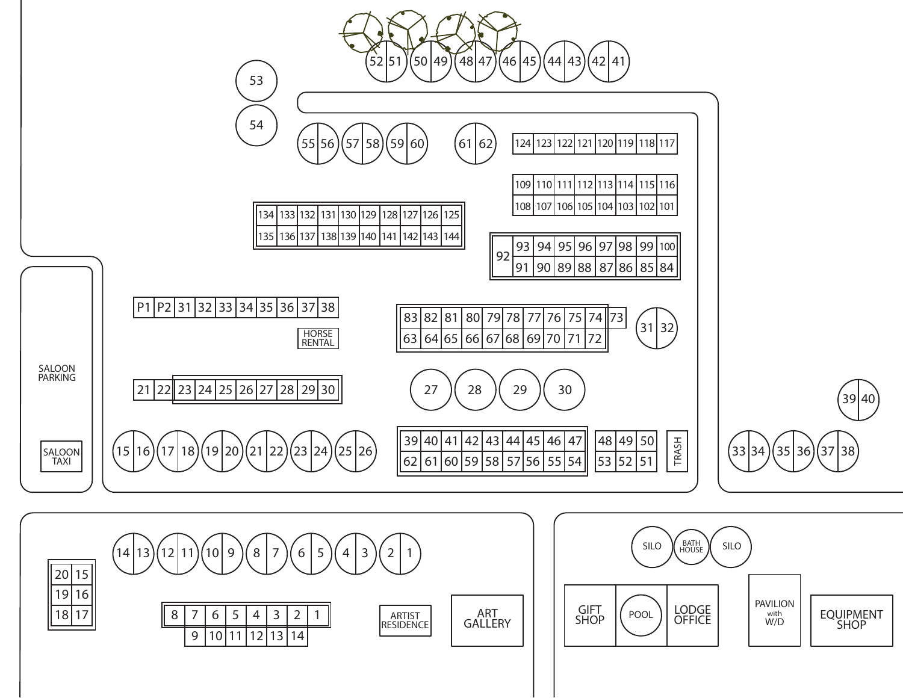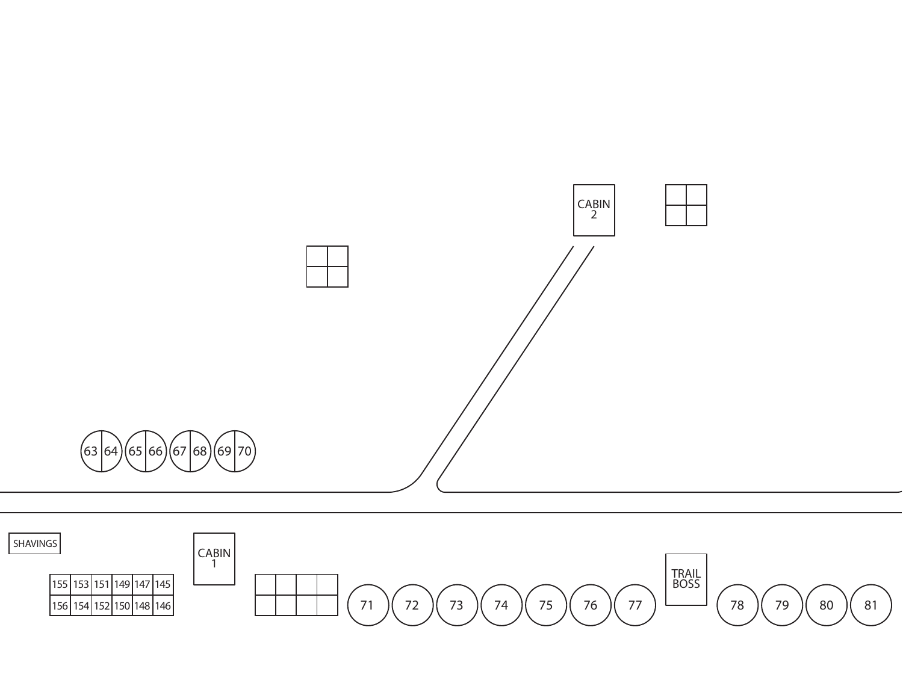